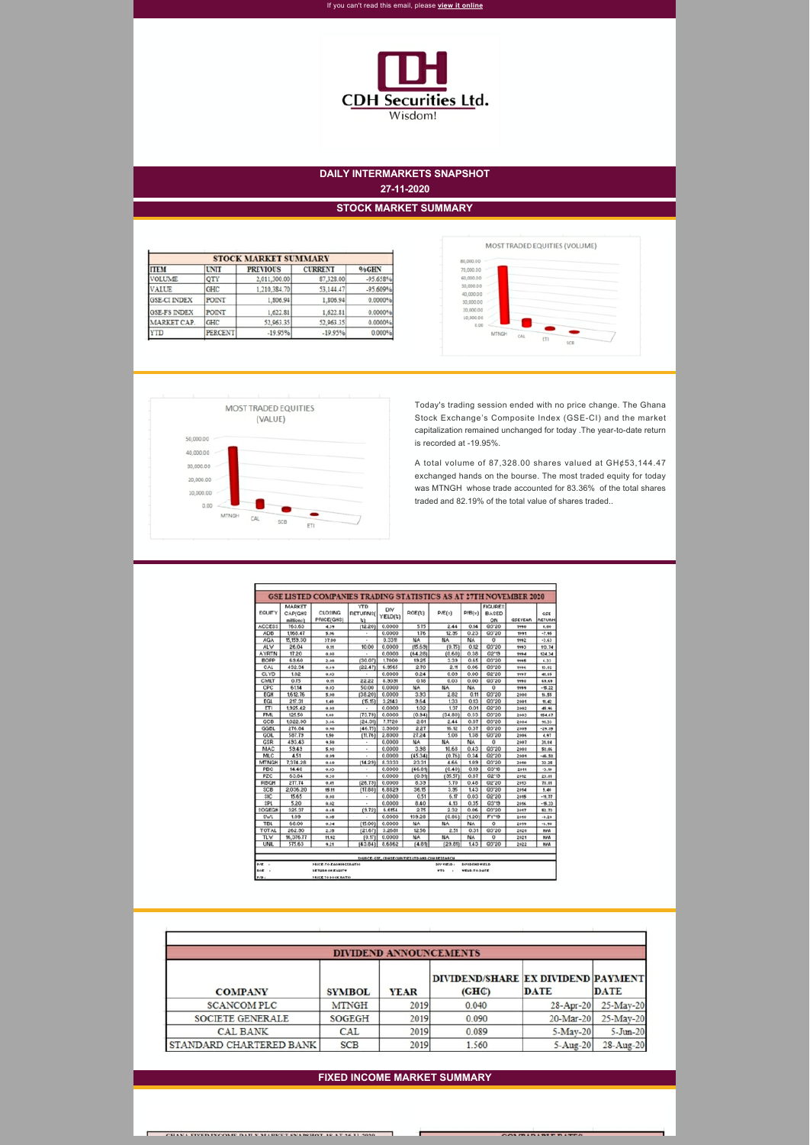

## **DAILY INTERMARKETS SNAPSHOT 27-11-2020**

#### **STOCK MARKET SUMMARY**

| <b>STOCK MARKET SUMMARY</b> |                |                 |                |            |  |  |
|-----------------------------|----------------|-----------------|----------------|------------|--|--|
| <b>ITEM</b>                 | <b>UNIT</b>    | <b>PREVIOUS</b> | <b>CURRENT</b> | %GHN       |  |  |
| <b>VOLUME</b>               | QTY            | 2,011,300.00    | 87,328.00      | $-95.658%$ |  |  |
| <b>VALUE</b>                | GHC            | 1,210,384.70    | 53,144.47      | $-95.609%$ |  |  |
| <b>GSE-CI INDEX</b>         | <b>POINT</b>   | 1,806.94        | 1,806.94       | 0.0000%    |  |  |
| <b>GSE-FS INDEX</b>         | <b>POINT</b>   | 1,622.81        | 1,622.81       | 0.0000%    |  |  |
| MARKET CAP.                 | GHC            | 52.963.35       | 52,963.35      | 0.0000%    |  |  |
| <b>YTD</b>                  | <b>PERCENT</b> | $-19.95%$       | $-19.95%$      | 0.000%     |  |  |





Today's trading session ended with no price change. The Ghana Stock Exchange's Composite Index (GSE-CI) and the market capitalization remained unchanged for today .The year-to-date return is recorded at -19.95%.

A total volume of 87,328.00 shares valued at GH¢53,144.47 exchanged hands on the bourse. The most traded equity for today was MTNGH whose trade accounted for 83.36% of the total shares traded and 82.19% of the total value of shares traded..

| <b>EQUITY</b> | MARKET<br><b>CAP(GHS</b><br>millions] | <b>CLOSING</b><br>PRICE(GHS) | <b>YTD</b><br><b>RETURNS(</b><br>划 | DIV<br>YIELD(%) | ROE(z)    | P/E(x)    | P/B(x) | <b>FIGURES</b><br><b>BASED</b><br>ON | <b>GSEYEAR</b> | GSE<br><b>RETURN</b> |
|---------------|---------------------------------------|------------------------------|------------------------------------|-----------------|-----------|-----------|--------|--------------------------------------|----------------|----------------------|
| <b>ACCESS</b> | 763.63                                | 4.39                         | (12.20)                            | 0.0000          | 5.75      | 2.44      | 0.14   | Q3'20                                | 1990           | 0.00                 |
| ADB           | 1.168.47                              | 5.06                         |                                    | 0.0000          | 1.76      | 12.35     | 0.23   | 03'20                                | 1991           | $-7.95$              |
| <b>AGA</b>    | 15.159.30                             | 37.00                        |                                    | 0.3311          | NA        | NA        | NA     | o                                    | 1992           | $-3.63$              |
| ALW           | 26.04                                 | 0.71                         | 10.00                              | 0.0000          | (15.63)   | (0.75)    | 0.12   | Q3'20                                | 1993           | 113.74               |
| <b>AYRTN</b>  | 17.20                                 | 0.08                         |                                    | 0.0000          | (64.28)   | (0.60)    | 0.38   | Q2'13                                | 1994           | 524.34               |
| BOPP          | 63.60                                 | 2.66                         | (30.07)                            | 1,7000          | 13.25     | 3.33      | 0.65   | Q3'20                                | 1995           | 6.33                 |
| CAL           | 432.34                                | 0.69                         | (22.47)                            | 6.3565          | 2.70      | 2.11      | 0.06   | Q3'20                                | 1996           | 10.82                |
| CLYD          | 1.02                                  | 0.03                         |                                    | 0.0000          | 0.24      | 0.03      | 0.00   | 02'20                                | 1997           | 41.05                |
| CMLT          | 0.75                                  | 0.11                         | 22.22                              | 8.9031          | 0.18      | 0.03      | 0.00   | Q3'20                                | 1990           | 69.69                |
| CPC           | 61.14                                 | 0.03                         | 50.00                              | 0.0000          | NA.       | NA.       | NA.    | ٥                                    | 1649           | $-15.22$             |
| EGH           | 1,612.76                              | 5.00                         | (38.20)                            | 0.0000          | 3.33      | 2.82      | 0.11   | Q3'20                                | 2000           | 16.55                |
| EGL           | 217.31                                | 1.40                         | [15.15]                            | 3.2143          | 3.64      | 133       | 0.13   | Q3'20                                | 2001           | 11.42                |
| EΤI           | 1,325.42                              | 0.02                         |                                    | 0.0000          | 1.02      | 1.37      | 0.01   | 02'20                                | 2002           | 45.46                |
| <b>FML</b>    | 125.50                                | 1.62                         | (73.73)                            | 0.0000          | (0.34)    | (34.80)   | 0.33   | Q3'20                                | 2003           | 154.67               |
| GCB           | 1,022.90                              | 3.16                         | (24.31)                            | 7.7720          | 2.81      | 2.44      | 0.07   | 03'20                                | 2004           | 91.33                |
| GGBL          | 276.84                                | 0,90                         | (46.75)                            | 3.9000          | 2.27      | 16.12     | 0.37   | Q3'20                                | 2005           | $-29.85$             |
| GOIL          | 587.79                                | 1.50                         | (11.76)                            | 2.8000          | 27.24     | 5.08      | 1.38   | Q3'20                                | 2006           | 4.97                 |
| GSR           | 433.43                                | 9,50                         |                                    | 0.0000          | NA        | NA.       | NA     | 0                                    | 2007           | 31.84                |
| MAC           | 59.49                                 | 5.48                         |                                    | 0.0000          | 3.38      | 10.68     | 0.43   | 03'20                                | 2008           | 58.86                |
| MLC           | 4.51                                  | 0.09                         |                                    | 0.0000          | (45.34)   | (0.76)    | 0.34   | 02'20                                | 2009           | $-46.58$             |
| <b>MTNGH</b>  | 7,374.28                              | 0,60                         | (14.23)                            | 8.3333          | 23.31     | 4.66      | 103    | Q3'20                                | 2010           | 32.25                |
| PBC           | 14.40                                 | 0.03                         | ۰                                  | 0.0000          | (46.81)   | (0.40)    | 0.13   | Q3'18                                | 2011           | $-3.10$              |
| PZC           | 63.84                                 | 0.38                         | ٠                                  | 0.0000          | (0.91)    | (35.57)   | 0.87   | Q2'19                                | 2012           | 23.81                |
| RBGH          | 277.74                                | 0.41                         | (26.73)                            | 0.0000          | 8.39      | 5.70      | 0.48   | Q2'20                                | 2013           | 78.81                |
| SCB           | 2.036.20                              | 15.11                        | (17.88)                            | 6.8823          | 36.15     | 3.35      | 1.43   | Q3'20                                | 2014           | 5.40                 |
| \$IC          | 15.65                                 | 0.03                         | ٠                                  | 0.0000          | 0.51      | 6.17      | 0.03   | Q2'20                                | 2015           | $-11.77$             |
| SPL           | 5.20                                  | 0.02                         |                                    | 0.0000          | 8.40      | 4.13      | 0.35   | Q3'13                                | 2416           | $-15.33$             |
| SOGEGH        | 325.37                                | 0.65                         | (3.72)                             | 6.6154          | 2.75      | 2.32      | 0.06   | Q3'20                                | 2017           | 52.73                |
| SWL           | 1.03                                  | 0.05                         |                                    | 0.0000          | 133.28    | (0.86)    | (1.20) | FY'13                                | 2018           | $-0.29$              |
| <b>TBL</b>    | 68.00                                 | 0.34                         | (15.00)                            | 0.0000          | NA        | NA.       | NA     | o                                    | 2019           | $-6.90$              |
| TOTAL         | 262.90                                | 2.36                         | (21.67)                            | 3.2681          | 12.56     | 2.51      | 0.31   | Q3'20                                | 2020           | NAA                  |
| TL'w          | 16,376.77                             | 11.42                        | [0.17]                             | 0.0000          | <b>NA</b> | <b>NA</b> | NA.    | ٥                                    | 2021           | NAA                  |
| <b>UNIL</b>   | 575.63                                | 9.21                         | (43.84)                            | 8.6862          | (4.81)    | (23.81)   | 1.43   | @3'20                                | 2022           | <b>NAA</b>           |

 $\overline{\phantom{a}}$ **PRICE-TO-EARNINGS RATI** 

| <b>CONTRACTOR</b><br>E TO BOOK RATIO<br><b>D-B-</b><br> |  | <b>YTE</b> | YEAR-TO-DATE<br>. |  |
|---------------------------------------------------------|--|------------|-------------------|--|
|                                                         |  |            |                   |  |

| <b>DIVIDEND ANNOUNCEMENTS</b> |               |             |                                             |             |             |  |  |  |
|-------------------------------|---------------|-------------|---------------------------------------------|-------------|-------------|--|--|--|
| <b>COMPANY</b>                | <b>SYMBOL</b> | <b>YEAR</b> | DIVIDEND/SHARE EX DIVIDEND PAYMENT<br>(GHC) | <b>DATE</b> | <b>DATE</b> |  |  |  |
| <b>SCANCOM PLC</b>            | <b>MTNGH</b>  | 2019        | 0.040                                       | 28-Apr-20   | 25-May-20   |  |  |  |
| SOCIETE GENERALE              | <b>SOGEGH</b> | 2019        | 0.090                                       | 20-Mar-20   | 25-May-20   |  |  |  |
| <b>CAL BANK</b>               | CAL           | 2019        | 0.089                                       | 5-May-20    | 5-Jun-20    |  |  |  |
| STANDARD CHARTERED BANK       | <b>SCB</b>    | 2019        | 1.560                                       | $5-Aug-20$  | 28-Aug-20   |  |  |  |

### **FIXED INCOME MARKET SUMMARY**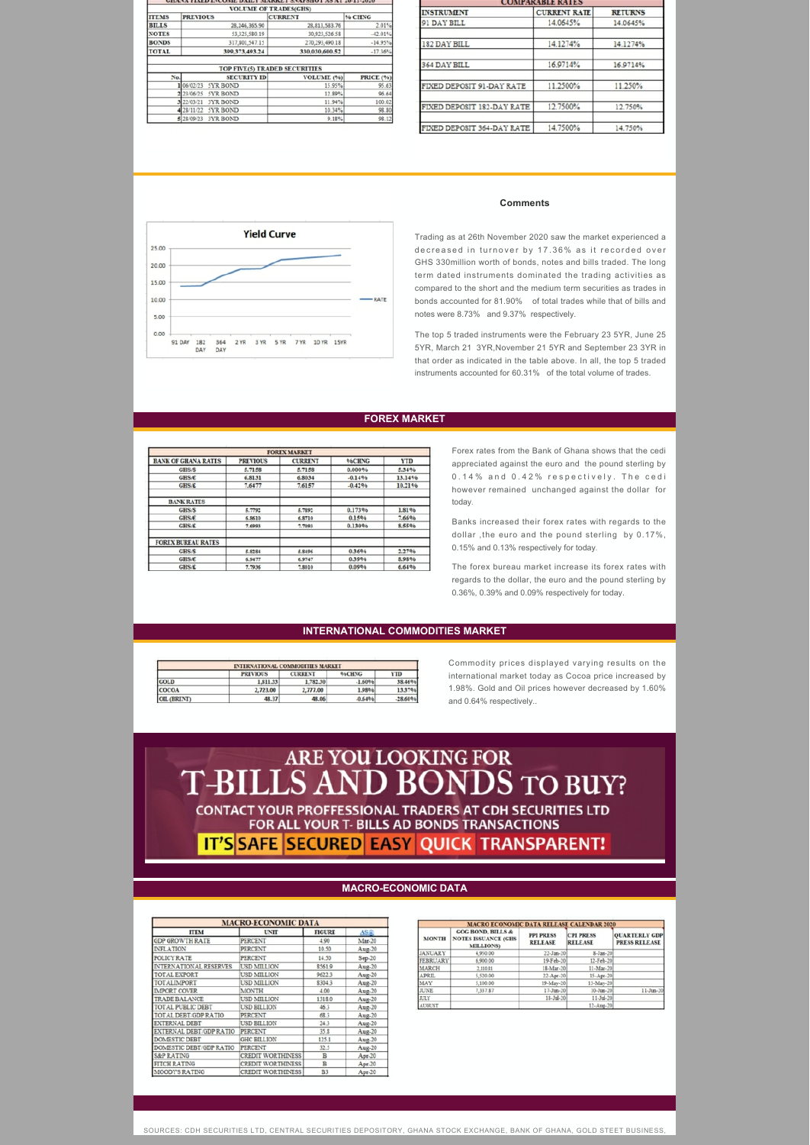| <b>VOLUME OF TRADES(GHS)</b> |                               |                               |                    |  |  |  |  |
|------------------------------|-------------------------------|-------------------------------|--------------------|--|--|--|--|
| <b>ITEMS</b>                 | <b>PREVIOUS</b>               | <b>CURRENT</b>                | % CHNG             |  |  |  |  |
| <b>BILLS</b>                 | 28,246,365.90                 | 28, 813, 583. 76              | 2.01%              |  |  |  |  |
| <b>NOTES</b>                 | 53,325,580.19                 | 30,923,526.58                 | $-42.01%$          |  |  |  |  |
| <b>BONDS</b>                 | 317,801,547.15                | 270,293,490.18                | $-14.95%$          |  |  |  |  |
| <b>TOTAL</b>                 | 399,373,493.24                | 330,030,600.52                | $-17.36%$          |  |  |  |  |
|                              |                               | TOP FIVE(5) TRADED SECURITIES |                    |  |  |  |  |
| No.                          | <b>SECURITY ID</b>            | VOLUME (%)                    |                    |  |  |  |  |
|                              | 1 06 02/23<br>5YR BOND        | 15.95%                        | PRICE (%)<br>95.63 |  |  |  |  |
|                              | 2 23/06/25<br>5YR BOND        | 12.89%                        | 96.64              |  |  |  |  |
|                              | 3 22/03/21<br><b>3YR BOND</b> | 11.94%                        | 100.02             |  |  |  |  |
|                              | 4 28/11/22<br>5YR BOND        | 10.34%                        | 98.80              |  |  |  |  |

| <b>INSTRUMENT</b>          | <b>CURRENT RATE</b> | <b>RETURNS</b> |
|----------------------------|---------------------|----------------|
| 91 DAY BILL                | 14.0645%            | 14.0645%       |
| 182 DAY BILL               | 14.1274%            | 14.1274%       |
| 364 DAY BILL               | 16.9714%            | 16.9714%       |
| FIXED DEPOSIT 91-DAY RATE  | 11.2500%            | 11.250%        |
| FIXED DEPOSIT 182-DAY RATE | 12.7500%            | 12.750%        |
| FIXED DEPOSIT 364-DAY RATE | 14.7500%            | 14.750%        |



#### **Comments**

Trading as at 26th November 2020 saw the market experienced a decreased in turnover by 17.36% as it recorded over GHS 330million worth of bonds, notes and bills traded. The long term dated instruments dominated the trading activities as compared to the short and the medium term securities as trades in bonds accounted for 81.90% of total trades while that of bills and notes were 8.73% and 9.37% respectively.

The top 5 traded instruments were the February 23 5YR, June 25 5YR, March 21 3YR,November 21 5YR and September 23 3YR in that order as indicated in the table above. In all, the top 5 traded instruments accounted for 60.31% of the total volume of trades.

#### **FOREX MARKET**

|                            |                 | <b>FOREX MARKET</b> |           |            |
|----------------------------|-----------------|---------------------|-----------|------------|
| <b>BANK OF GHANA RATES</b> | <b>PREVIOUS</b> | <b>CURRENT</b>      | 96CHNG    | <b>YTD</b> |
| GHS/\$                     | 5.7158          | 5.7158              | 0.000%    | 5.34%      |
| <b>GHS/€</b>               | 6.8131          | 6.8034              | $-0.14%$  | 13.14%     |
| <b>GHS/£</b>               | 7,6477          | 7,6157              | $-0.4296$ | 10.21%     |
| <b>BANK RATES</b>          |                 |                     |           |            |
| GHS/S                      | 5.7792          | 5.7892              | 0.173%    | 1.81%      |
| <b>GHS/€</b>               | 6.8610          | 6.8710              | 0.15%     | 7.66%      |
| <b>GHS/E</b>               | 7.6993          | 7.7093              | 0.130%    | 8,55%      |
| <b>FOREX BUREAU RATES</b>  |                 |                     |           |            |
| GHS/S                      | 5.8284          | 5.8496              | 0.36%     | 2.27%      |
| GHS/€                      | 6.9477          | 6.9747              | 0.39%     | 8,98%      |
| <b>GHS/£</b>               | 7.7936          | 7.8010              | 0.09%     | 6,64%      |

Forex rates from the Bank of Ghana shows that the cedi appreciated against the euro and the pound sterling by 0.14% and 0.42% respectively. The cedi however remained unchanged against the dollar for today.

Banks increased their forex rates with regards to the dollar ,the euro and the pound sterling by 0.17%, 0.15% and 0.13% respectively for today.

The forex bureau market increase its forex rates with regards to the dollar, the euro and the pound sterling by 0.36%, 0.39% and 0.09% respectively for today.

#### **INTERNATIONAL COMMODITIES MARKET**

| <b>INTERNATIONAL COMMODITIES MARKET</b> |                 |                |               |            |  |  |
|-----------------------------------------|-----------------|----------------|---------------|------------|--|--|
|                                         | <b>PREVIOUS</b> | <b>CURRENT</b> | <b>96CHNG</b> | <b>YTD</b> |  |  |
| <b>GOLD</b>                             | 1,811.33        | 1,782.30       | $-1.60%$      | 38.469     |  |  |
| <b>COCOA</b>                            | 2,723.00        | 2,777.00       | 1.98%         | 13.37      |  |  |
| OIL (BRENT)                             | 48.37           | 48.06          | 0.64%         | $-28.60%$  |  |  |

Commodity prices displayed varying results on the international market today as Cocoa price increased by 1.98%. Gold and Oil prices however decreased by 1.60% and 0.64% respectively..

# T-BILLS AND BONDS TO BUY? **CONTACT YOUR PROFFESSIONAL TRADERS AT CDH SECURITIES LTD** FOR ALL YOUR T- BILLS AD BONDS TRANSACTIONS IT'S SAFE SECURED EASY QUICK TRANSPARENT!

#### **MACRO-ECONOMIC DATA**

| <b>MACRO-ECONOMIC DATA</b> |                          |                |                 |  |  |
|----------------------------|--------------------------|----------------|-----------------|--|--|
| <b>ITEM</b>                | UNIT                     | <b>FIGURE</b>  | AS <sub>a</sub> |  |  |
| <b>GDP GROWTH RATE</b>     | PERCENT                  | 4.90           | Mar-20          |  |  |
| <b>INFLATION</b>           | PERCENT                  | 10.50          | Aug-20          |  |  |
| POLICY RATE                | <b>PERCENT</b>           | 14.50          | Sep-20          |  |  |
| INTERNATIONAL RESERVES     | <b>USD MILLION</b>       | 8561.9         | Aug-20          |  |  |
| <b>TOTAL EXPORT</b>        | USD MILLION              | 9622.3         | Aug-20          |  |  |
| TOTALIMPORT                | USD MILLION              | 8304.3         | Aug-20          |  |  |
| <b>IMPORT COVER</b>        | <b>MONTH</b>             | 4.00           | Aug-20          |  |  |
| <b>TRADE BALANCE</b>       | USD MILLION              | 1318.0         | Aug-20          |  |  |
| <b>TOTAL PUBLIC DEBT</b>   | <b>USD BILLION</b>       | 46.3           | Aug-20          |  |  |
| TOTAL DEBT/GDP RATIO       | PERCENT                  | 68.3           | Aug-20          |  |  |
| <b>EXTERNAL DEBT</b>       | USD BILLION              | 24.3           | Aug-20          |  |  |
| EXTERNAL DEBT/GDP RATIO    | <b>PERCENT</b>           | 35.8           | Aug-20          |  |  |
| <b>DOMESTIC DEBT</b>       | <b>GHC BILLION</b>       | 125.1          | Aug-20          |  |  |
| DOMESTIC DEBT/GDP RATIO    | PERCENT                  | 32.5           | $Aug-20$        |  |  |
| <b>S&amp;P RATING</b>      | <b>CREDIT WORTHINESS</b> | B              | $Apr-20$        |  |  |
| <b>FITCH RATING</b>        | <b>CREDIT WORTHINESS</b> | $\mathbb{R}$   | $Apr-20$        |  |  |
| MOODY'S RATING             | <b>CREDIT WORTHINESS</b> | B <sub>3</sub> | Apr-20          |  |  |

| <b>MACRO ECONOMIC DATA RELEASE CALENDAR 2020</b> |                                                                               |                                    |                                    |                                              |  |  |
|--------------------------------------------------|-------------------------------------------------------------------------------|------------------------------------|------------------------------------|----------------------------------------------|--|--|
| <b>MONTH</b>                                     | <b>GOG BOND, BILLS &amp;</b><br><b>NOTES ISSUANCE (GHS</b><br><b>MILLIONS</b> | <b>PPI PRESS</b><br><b>RELEASE</b> | <b>CPI PRESS</b><br><b>RELEASE</b> | <b>QUARTERLY GDP</b><br><b>PRESS RELEASE</b> |  |  |
| <b>JANUARY</b>                                   | 4,950.00                                                                      | 22-Jan-20                          | 8-Jan-20                           |                                              |  |  |
| FEBRUARY                                         | 6,900.00                                                                      | 19-Feb-20                          | 12-Feb-20                          |                                              |  |  |
| MARCH                                            | 2,110.81                                                                      | 18-Mar-20                          | 11-Mar-20                          |                                              |  |  |
| <b>APRIL</b>                                     | 5,520.00                                                                      | 22-Apr-20                          | 15-Apr-20                          |                                              |  |  |
| MAY                                              | 5,100.00                                                                      | 19-May-20                          | 13-May-20                          |                                              |  |  |
| <b>JUNE</b>                                      | 7,337.87                                                                      | 17-Jun-20                          | $10 - \text{Jum} - 20$             | $11-J$ un- $20$                              |  |  |
| <b>JULY</b>                                      |                                                                               | 18-Jul-20                          | $11 - \frac{1}{4} - 20$            |                                              |  |  |
| AUGUST                                           |                                                                               |                                    | 12-Aug-20                          |                                              |  |  |

SOURCES: CDH SECURITIES LTD, CENTRAL SECURITIES DEPOSITORY, GHANA STOCK EXCHANGE, BANK OF GHANA, GOLD STEET BUSINESS,